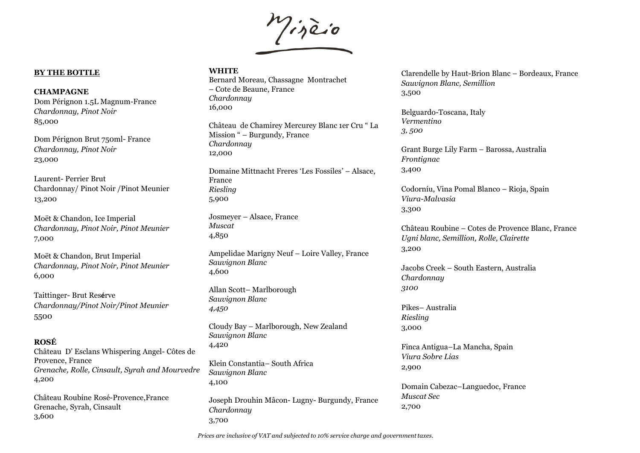

## **BY THE BOTTLE**

#### **CHAMPAGNE**

Dom Pérignon 1.5L Magnum-France *Chardonnay, Pinot Noir* 85,000

Dom Pérignon Brut 750ml- France *Chardonnay, Pinot Noir* 23,000

Laurent- Perrier Brut Chardonnay/ Pinot Noir /Pinot Meunier 13,200

Moët & Chandon, Ice Imperial *Chardonnay, Pinot Noir, Pinot Meunier* 7,000

Moët & Chandon, Brut Imperial *Chardonnay, Pinot Noir, Pinot Meunier* 6,000

Taittinger- Brut Res**é**rve *Chardonnay/Pinot Noir/Pinot Meunier* 5500

# **ROSÉ**

Château D' Esclans Whispering Angel- Côtes de Provence, France *Grenache, Rolle, Cinsault, Syrah and Mourvedre* 4,200

Château Roubine Rosé-Provence,France Grenache, Syrah, Cinsault 3,600

### **WHITE**

Bernard Moreau, Chassagne Montrachet – Cote de Beaune, France *Chardonnay* 16,000

Château de Chamirey Mercurey Blanc 1er Cru " La Mission " – Burgundy, France *Chardonnay* 12,000

Domaine Mittnacht Freres 'Les Fossiles' – Alsace, France *Riesling* 5,900

Josmeyer – Alsace, France *Muscat* 4,850

Ampelidae Marigny Neuf – Loire Valley, France *Sauvignon Blanc* 4,600

Allan Scott– Marlborough *Sauvignon Blanc 4,450*

Cloudy Bay – Marlborough, New Zealand *Sauvignon Blanc* 4,420

Klein Constantia– South Africa *Sauvignon Blanc* 4,100

Joseph Drouhin Mâcon- Lugny- Burgundy, France *Chardonnay*  3,700

Clarendelle by Haut-Brion Blanc – Bordeaux, France *Sauvignon Blanc, Semillion* 3,500

Belguardo-Toscana, Italy *Vermentino 3, 500*

Grant Burge Lily Farm – Barossa, Australia *Frontignac* 3,400

Codorníu, Vina Pomal Blanco – Rioja, Spain *Viura-Malvasia* 3,300

Château Roubine – Cotes de Provence Blanc, France *Ugni blanc, Semillion, Rolle, Clairette* 3,200

Jacobs Creek – South Eastern, Australia *Chardonnay 3100*

Pikes– Australia *Riesling* 3,000

Finca Antigua–La Mancha, Spain *Viura Sobre Lias* 2,900

Domain Cabezac–Languedoc, France *Muscat Sec* 2,700

*Prices are inclusive of VAT and subjected to 10% service charge and government taxes.*